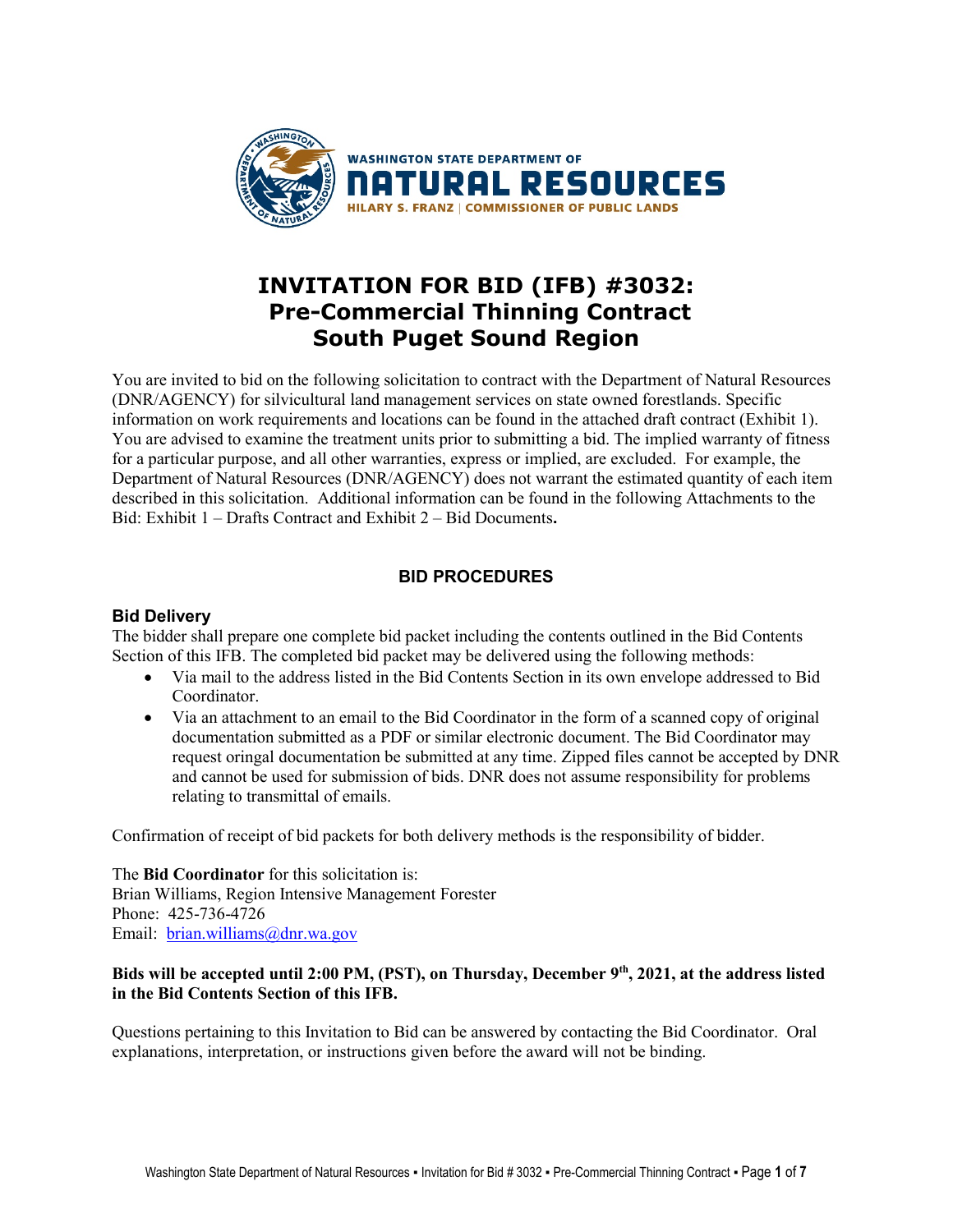

# **INVITATION FOR BID (IFB) #3032: Pre-Commercial Thinning Contract South Puget Sound Region**

You are invited to bid on the following solicitation to contract with the Department of Natural Resources (DNR/AGENCY) for silvicultural land management services on state owned forestlands. Specific information on work requirements and locations can be found in the attached draft contract (Exhibit 1). You are advised to examine the treatment units prior to submitting a bid. The implied warranty of fitness for a particular purpose, and all other warranties, express or implied, are excluded. For example, the Department of Natural Resources (DNR/AGENCY) does not warrant the estimated quantity of each item described in this solicitation. Additional information can be found in the following Attachments to the Bid: Exhibit 1 – Drafts Contract and Exhibit 2 – Bid Documents**.**

## **BID PROCEDURES**

## **Bid Delivery**

The bidder shall prepare one complete bid packet including the contents outlined in the Bid Contents Section of this IFB. The completed bid packet may be delivered using the following methods:

- Via mail to the address listed in the Bid Contents Section in its own envelope addressed to Bid Coordinator.
- Via an attachment to an email to the Bid Coordinator in the form of a scanned copy of original documentation submitted as a PDF or similar electronic document. The Bid Coordinator may request oringal documentation be submitted at any time. Zipped files cannot be accepted by DNR and cannot be used for submission of bids. DNR does not assume responsibility for problems relating to transmittal of emails.

Confirmation of receipt of bid packets for both delivery methods is the responsibility of bidder.

The **Bid Coordinator** for this solicitation is: Brian Williams, Region Intensive Management Forester Phone: 425-736-4726 Email: [brian.williams@dnr.wa.gov](mailto:brian.williams@dnr.wa.gov)

### **Bids will be accepted until 2:00 PM, (PST), on Thursday, December 9th, 2021, at the address listed in the Bid Contents Section of this IFB.**

Questions pertaining to this Invitation to Bid can be answered by contacting the Bid Coordinator. Oral explanations, interpretation, or instructions given before the award will not be binding.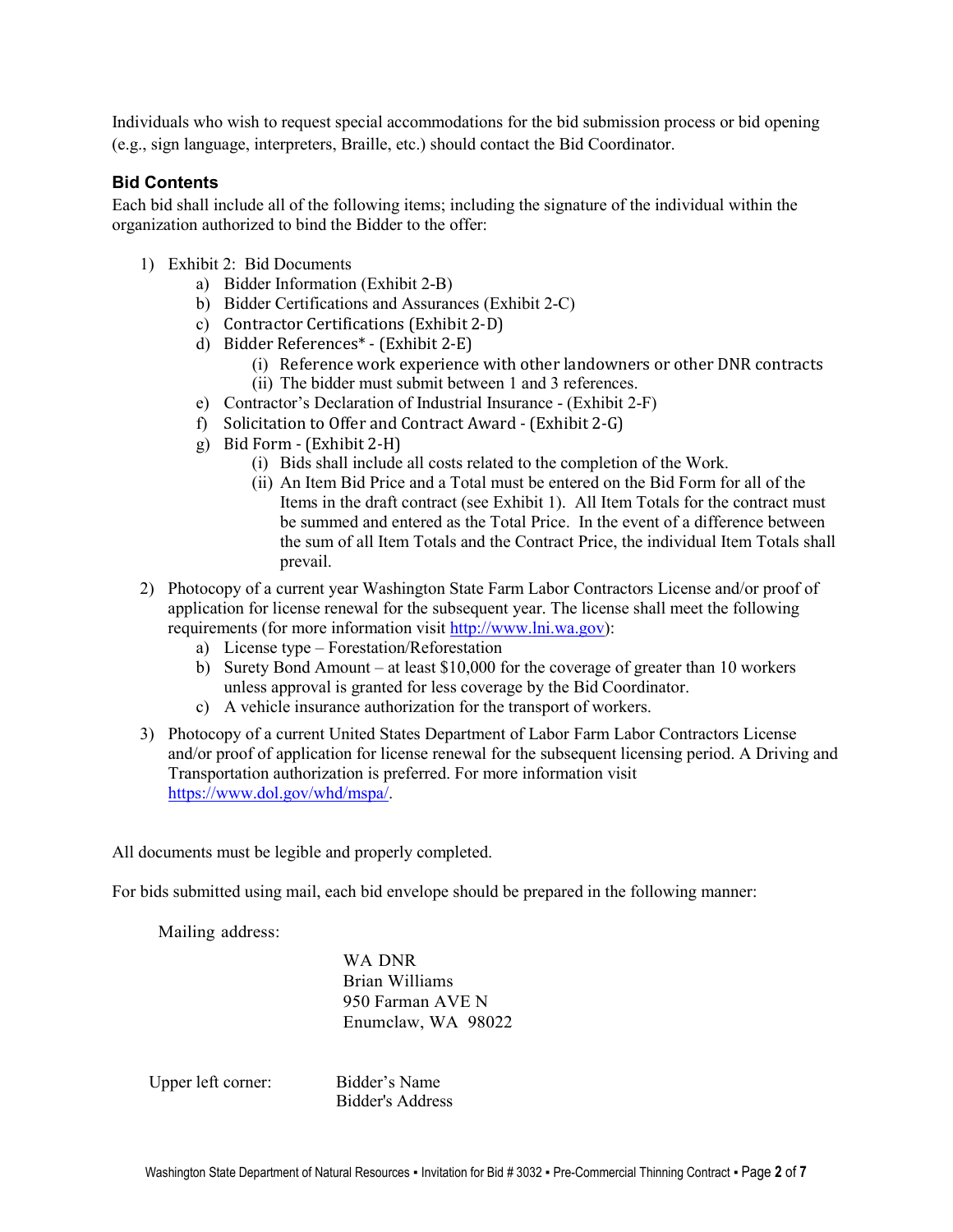Individuals who wish to request special accommodations for the bid submission process or bid opening (e.g., sign language, interpreters, Braille, etc.) should contact the Bid Coordinator.

### **Bid Contents**

Each bid shall include all of the following items; including the signature of the individual within the organization authorized to bind the Bidder to the offer:

- 1) Exhibit 2: Bid Documents
	- a) Bidder Information (Exhibit 2-B)
	- b) Bidder Certifications and Assurances (Exhibit 2-C)
	- c) Contractor Certifications (Exhibit 2-D)
	- d) Bidder References\* (Exhibit 2-E)
		- (i) Reference work experience with other landowners or other DNR contracts (ii) The bidder must submit between 1 and 3 references.
	- e) Contractor's Declaration of Industrial Insurance (Exhibit 2-F)
	- f) Solicitation to Offer and Contract Award (Exhibit 2-G)
	- g) Bid Form (Exhibit 2-H)
		- (i) Bids shall include all costs related to the completion of the Work.
		- (ii) An Item Bid Price and a Total must be entered on the Bid Form for all of the Items in the draft contract (see Exhibit 1). All Item Totals for the contract must be summed and entered as the Total Price. In the event of a difference between the sum of all Item Totals and the Contract Price, the individual Item Totals shall prevail.
- 2) Photocopy of a current year Washington State Farm Labor Contractors License and/or proof of application for license renewal for the subsequent year. The license shall meet the following requirements (for more information visit [http://www.lni.wa.gov\)](http://www.lni.wa.gov/):
	- a) License type Forestation/Reforestation
	- b) Surety Bond Amount at least \$10,000 for the coverage of greater than 10 workers unless approval is granted for less coverage by the Bid Coordinator.
	- c) A vehicle insurance authorization for the transport of workers.
- 3) Photocopy of a current United States Department of Labor Farm Labor Contractors License and/or proof of application for license renewal for the subsequent licensing period. A Driving and Transportation authorization is preferred. For more information visit [https://www.dol.gov/whd/mspa/.](https://www.dol.gov/whd/mspa/)

All documents must be legible and properly completed.

For bids submitted using mail, each bid envelope should be prepared in the following manner:

Mailing address:

WA DNR Brian Williams 950 Farman AVE N Enumclaw, WA 98022

Upper left corner: Bidder's Name

Bidder's Address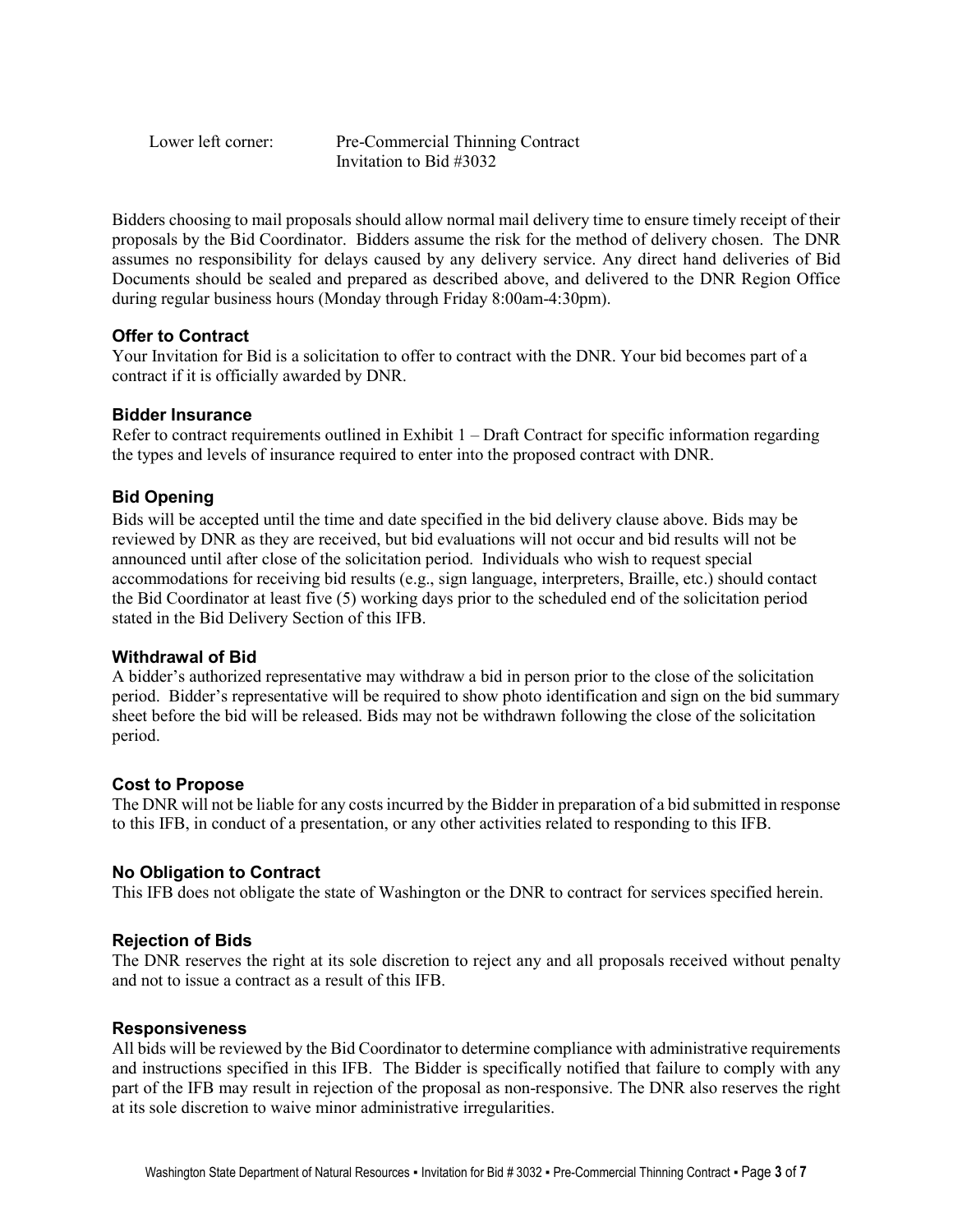Lower left corner: Pre-Commercial Thinning Contract Invitation to Bid #3032

Bidders choosing to mail proposals should allow normal mail delivery time to ensure timely receipt of their proposals by the Bid Coordinator. Bidders assume the risk for the method of delivery chosen. The DNR assumes no responsibility for delays caused by any delivery service. Any direct hand deliveries of Bid Documents should be sealed and prepared as described above, and delivered to the DNR Region Office during regular business hours (Monday through Friday 8:00am-4:30pm).

### **Offer to Contract**

Your Invitation for Bid is a solicitation to offer to contract with the DNR. Your bid becomes part of a contract if it is officially awarded by DNR.

### **Bidder Insurance**

Refer to contract requirements outlined in Exhibit  $1 - \text{Draft Contract for specific information regarding}$ the types and levels of insurance required to enter into the proposed contract with DNR.

## **Bid Opening**

Bids will be accepted until the time and date specified in the bid delivery clause above. Bids may be reviewed by DNR as they are received, but bid evaluations will not occur and bid results will not be announced until after close of the solicitation period. Individuals who wish to request special accommodations for receiving bid results (e.g., sign language, interpreters, Braille, etc.) should contact the Bid Coordinator at least five (5) working days prior to the scheduled end of the solicitation period stated in the Bid Delivery Section of this IFB.

## **Withdrawal of Bid**

A bidder's authorized representative may withdraw a bid in person prior to the close of the solicitation period. Bidder's representative will be required to show photo identification and sign on the bid summary sheet before the bid will be released. Bids may not be withdrawn following the close of the solicitation period.

## **Cost to Propose**

The DNR will not be liable for any costs incurred by the Bidder in preparation of a bid submitted in response to this IFB, in conduct of a presentation, or any other activities related to responding to this IFB.

#### **No Obligation to Contract**

This IFB does not obligate the state of Washington or the DNR to contract for services specified herein.

#### **Rejection of Bids**

The DNR reserves the right at its sole discretion to reject any and all proposals received without penalty and not to issue a contract as a result of this IFB.

#### **Responsiveness**

All bids will be reviewed by the Bid Coordinator to determine compliance with administrative requirements and instructions specified in this IFB. The Bidder is specifically notified that failure to comply with any part of the IFB may result in rejection of the proposal as non-responsive. The DNR also reserves the right at its sole discretion to waive minor administrative irregularities.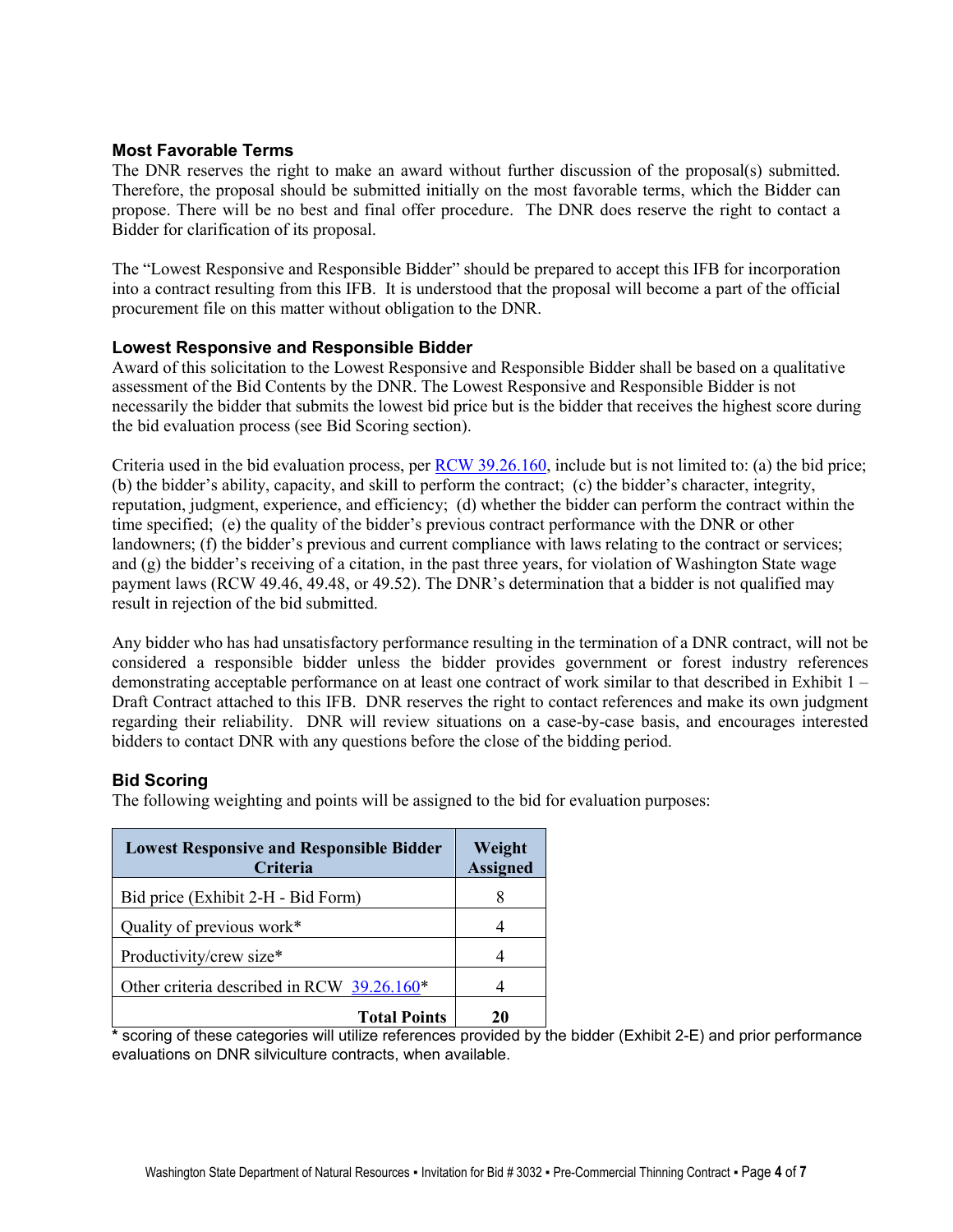### **Most Favorable Terms**

The DNR reserves the right to make an award without further discussion of the proposal(s) submitted. Therefore, the proposal should be submitted initially on the most favorable terms, which the Bidder can propose. There will be no best and final offer procedure. The DNR does reserve the right to contact a Bidder for clarification of its proposal.

The "Lowest Responsive and Responsible Bidder" should be prepared to accept this IFB for incorporation into a contract resulting from this IFB. It is understood that the proposal will become a part of the official procurement file on this matter without obligation to the DNR.

#### **Lowest Responsive and Responsible Bidder**

Award of this solicitation to the Lowest Responsive and Responsible Bidder shall be based on a qualitative assessment of the Bid Contents by the DNR. The Lowest Responsive and Responsible Bidder is not necessarily the bidder that submits the lowest bid price but is the bidder that receives the highest score during the bid evaluation process (see Bid Scoring section).

Criteria used in the bid evaluation process, per [RCW 39.26.160,](http://apps.leg.wa.gov/rcw/default.aspx?cite=39.26.160) include but is not limited to: (a) the bid price; (b) the bidder's ability, capacity, and skill to perform the contract; (c) the bidder's character, integrity, reputation, judgment, experience, and efficiency; (d) whether the bidder can perform the contract within the time specified; (e) the quality of the bidder's previous contract performance with the DNR or other landowners; (f) the bidder's previous and current compliance with laws relating to the contract or services; and (g) the bidder's receiving of a citation, in the past three years, for violation of Washington State wage payment laws (RCW 49.46, 49.48, or 49.52). The DNR's determination that a bidder is not qualified may result in rejection of the bid submitted.

Any bidder who has had unsatisfactory performance resulting in the termination of a DNR contract, will not be considered a responsible bidder unless the bidder provides government or forest industry references demonstrating acceptable performance on at least one contract of work similar to that described in Exhibit 1 – Draft Contract attached to this IFB. DNR reserves the right to contact references and make its own judgment regarding their reliability. DNR will review situations on a case-by-case basis, and encourages interested bidders to contact DNR with any questions before the close of the bidding period.

## **Bid Scoring**

The following weighting and points will be assigned to the bid for evaluation purposes:

| <b>Lowest Responsive and Responsible Bidder</b><br>Criteria                        | Weight<br><b>Assigned</b> |  |  |
|------------------------------------------------------------------------------------|---------------------------|--|--|
| Bid price (Exhibit 2-H - Bid Form)                                                 |                           |  |  |
| Quality of previous work*                                                          |                           |  |  |
| Productivity/crew size*                                                            |                           |  |  |
| Other criteria described in RCW 39.26.160*                                         |                           |  |  |
| <b>Total Points</b><br>$\cdot$<br><br>.<br>$\sim$ $\sim$ $\sim$ $\sim$ $\sim$<br>. | 20                        |  |  |

**\*** scoring of these categories will utilize references provided by the bidder (Exhibit 2-E) and prior performance evaluations on DNR silviculture contracts, when available.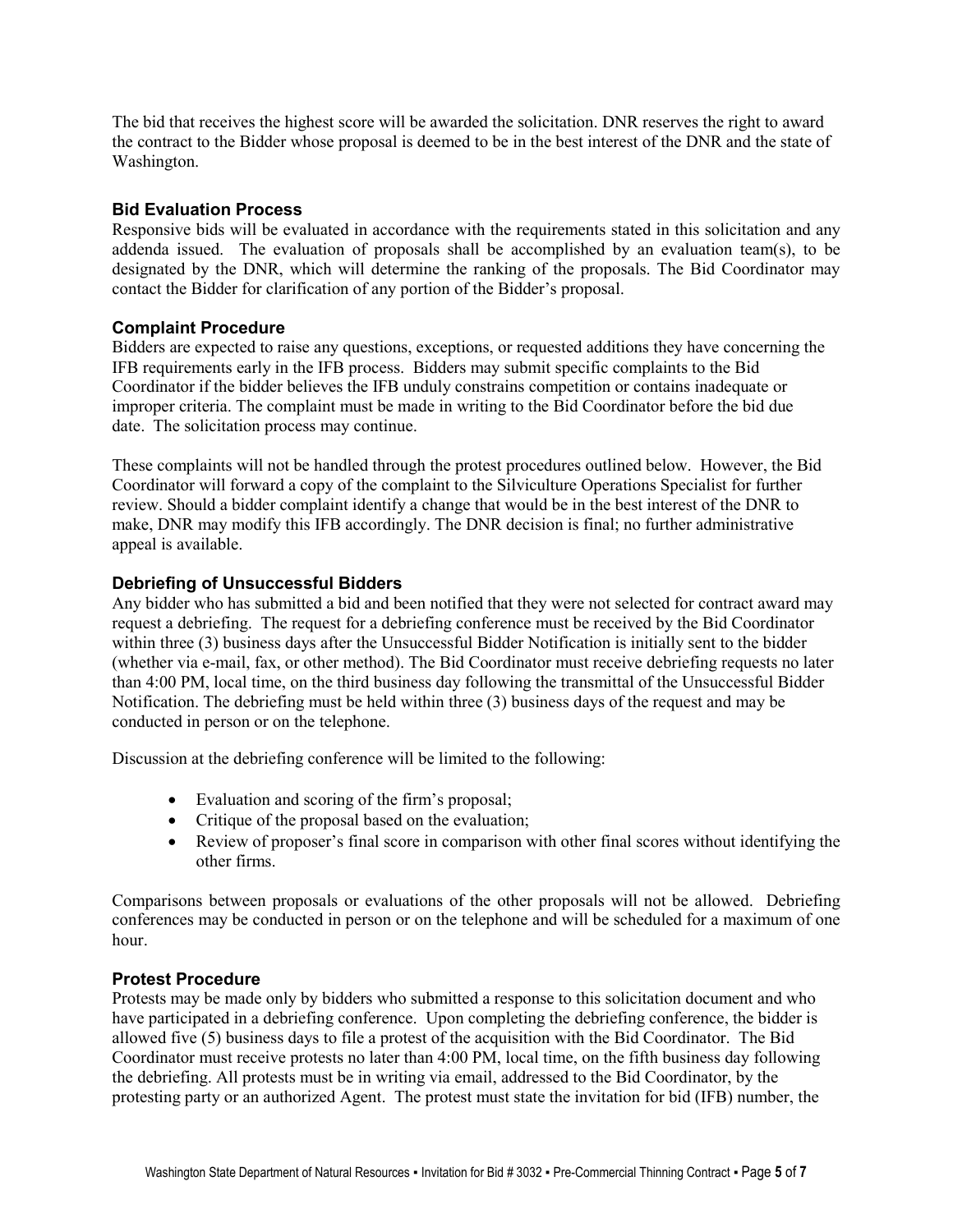The bid that receives the highest score will be awarded the solicitation. DNR reserves the right to award the contract to the Bidder whose proposal is deemed to be in the best interest of the DNR and the state of Washington.

#### **Bid Evaluation Process**

Responsive bids will be evaluated in accordance with the requirements stated in this solicitation and any addenda issued. The evaluation of proposals shall be accomplished by an evaluation team(s), to be designated by the DNR, which will determine the ranking of the proposals. The Bid Coordinator may contact the Bidder for clarification of any portion of the Bidder's proposal.

### **Complaint Procedure**

Bidders are expected to raise any questions, exceptions, or requested additions they have concerning the IFB requirements early in the IFB process. Bidders may submit specific complaints to the Bid Coordinator if the bidder believes the IFB unduly constrains competition or contains inadequate or improper criteria. The complaint must be made in writing to the Bid Coordinator before the bid due date. The solicitation process may continue.

These complaints will not be handled through the protest procedures outlined below. However, the Bid Coordinator will forward a copy of the complaint to the Silviculture Operations Specialist for further review. Should a bidder complaint identify a change that would be in the best interest of the DNR to make, DNR may modify this IFB accordingly. The DNR decision is final; no further administrative appeal is available.

### **Debriefing of Unsuccessful Bidders**

Any bidder who has submitted a bid and been notified that they were not selected for contract award may request a debriefing. The request for a debriefing conference must be received by the Bid Coordinator within three (3) business days after the Unsuccessful Bidder Notification is initially sent to the bidder (whether via e-mail, fax, or other method). The Bid Coordinator must receive debriefing requests no later than 4:00 PM, local time, on the third business day following the transmittal of the Unsuccessful Bidder Notification. The debriefing must be held within three (3) business days of the request and may be conducted in person or on the telephone.

Discussion at the debriefing conference will be limited to the following:

- Evaluation and scoring of the firm's proposal;
- Critique of the proposal based on the evaluation;
- Review of proposer's final score in comparison with other final scores without identifying the other firms.

Comparisons between proposals or evaluations of the other proposals will not be allowed. Debriefing conferences may be conducted in person or on the telephone and will be scheduled for a maximum of one hour.

#### **Protest Procedure**

Protests may be made only by bidders who submitted a response to this solicitation document and who have participated in a debriefing conference. Upon completing the debriefing conference, the bidder is allowed five (5) business days to file a protest of the acquisition with the Bid Coordinator. The Bid Coordinator must receive protests no later than 4:00 PM, local time, on the fifth business day following the debriefing. All protests must be in writing via email, addressed to the Bid Coordinator, by the protesting party or an authorized Agent. The protest must state the invitation for bid (IFB) number, the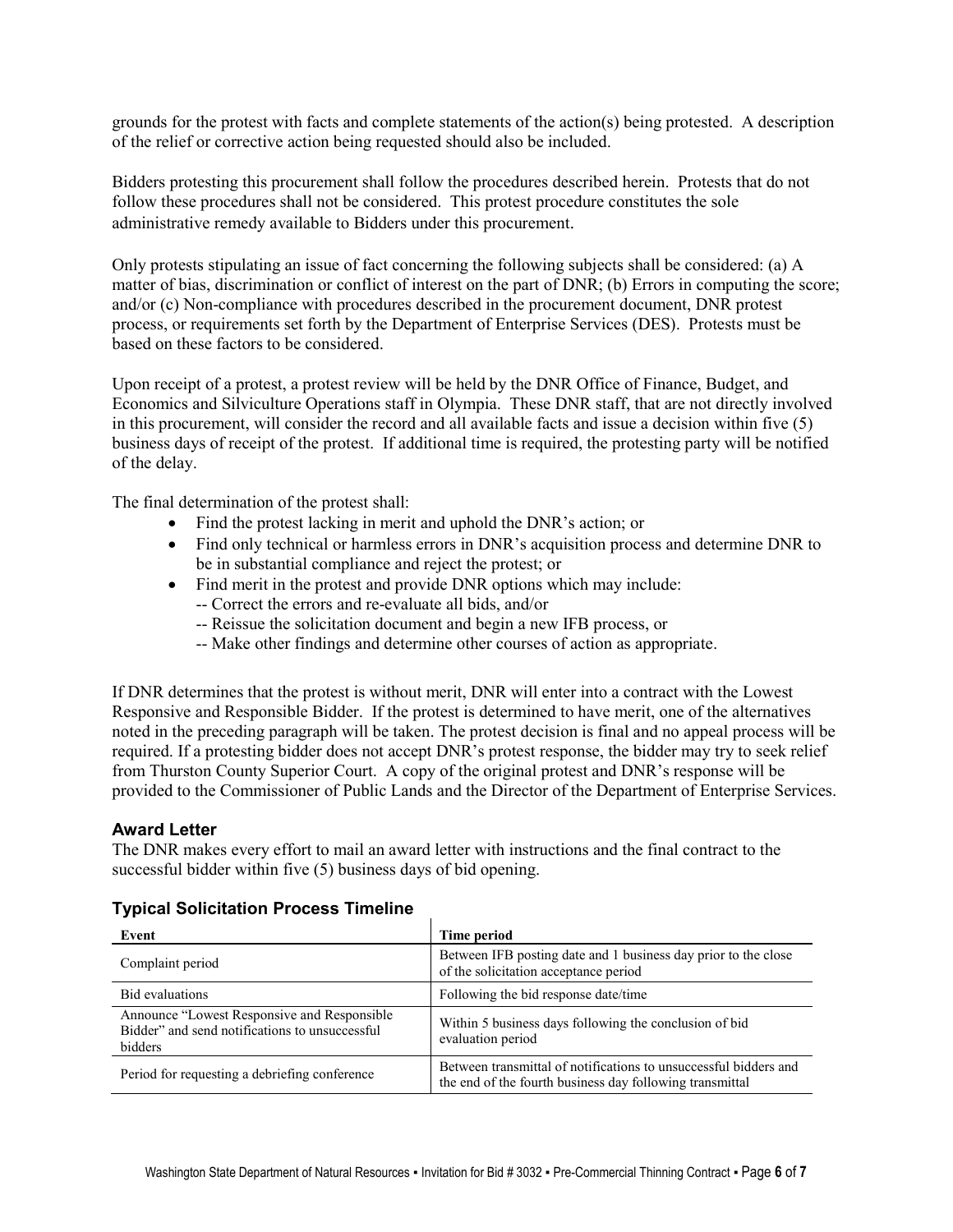grounds for the protest with facts and complete statements of the action(s) being protested. A description of the relief or corrective action being requested should also be included.

Bidders protesting this procurement shall follow the procedures described herein. Protests that do not follow these procedures shall not be considered. This protest procedure constitutes the sole administrative remedy available to Bidders under this procurement.

Only protests stipulating an issue of fact concerning the following subjects shall be considered: (a) A matter of bias, discrimination or conflict of interest on the part of DNR; (b) Errors in computing the score; and/or (c) Non-compliance with procedures described in the procurement document, DNR protest process, or requirements set forth by the Department of Enterprise Services (DES). Protests must be based on these factors to be considered.

Upon receipt of a protest, a protest review will be held by the DNR Office of Finance, Budget, and Economics and Silviculture Operations staff in Olympia. These DNR staff, that are not directly involved in this procurement, will consider the record and all available facts and issue a decision within five (5) business days of receipt of the protest. If additional time is required, the protesting party will be notified of the delay.

The final determination of the protest shall:

- Find the protest lacking in merit and uphold the DNR's action; or
- Find only technical or harmless errors in DNR's acquisition process and determine DNR to be in substantial compliance and reject the protest; or
- Find merit in the protest and provide DNR options which may include:
	- -- Correct the errors and re-evaluate all bids, and/or
	- -- Reissue the solicitation document and begin a new IFB process, or
	- -- Make other findings and determine other courses of action as appropriate.

If DNR determines that the protest is without merit, DNR will enter into a contract with the Lowest Responsive and Responsible Bidder. If the protest is determined to have merit, one of the alternatives noted in the preceding paragraph will be taken. The protest decision is final and no appeal process will be required. If a protesting bidder does not accept DNR's protest response, the bidder may try to seek relief from Thurston County Superior Court. A copy of the original protest and DNR's response will be provided to the Commissioner of Public Lands and the Director of the Department of Enterprise Services.

## **Award Letter**

The DNR makes every effort to mail an award letter with instructions and the final contract to the successful bidder within five (5) business days of bid opening.

#### **Typical Solicitation Process Timeline**

| Event                                                                                                     | Time period                                                                                                                  |
|-----------------------------------------------------------------------------------------------------------|------------------------------------------------------------------------------------------------------------------------------|
| Complaint period                                                                                          | Between IFB posting date and 1 business day prior to the close<br>of the solicitation acceptance period                      |
| <b>Bid evaluations</b>                                                                                    | Following the bid response date/time                                                                                         |
| Announce "Lowest Responsive and Responsible"<br>Bidder" and send notifications to unsuccessful<br>bidders | Within 5 business days following the conclusion of bid<br>evaluation period                                                  |
| Period for requesting a debriefing conference                                                             | Between transmittal of notifications to unsuccessful bidders and<br>the end of the fourth business day following transmittal |